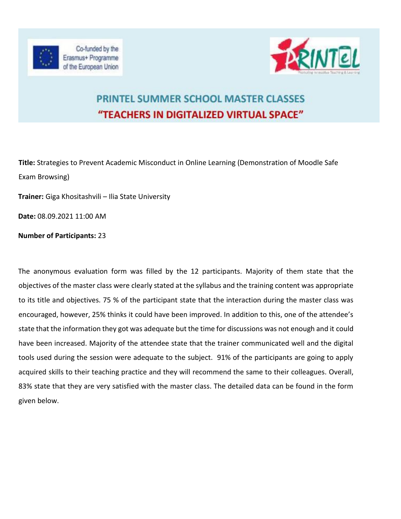



## **PRINTEL SUMMER SCHOOL MASTER CLASSES** "TEACHERS IN DIGITALIZED VIRTUAL SPACE"

**Title:** Strategies to Prevent Academic Misconduct in Online Learning (Demonstration of Moodle Safe Exam Browsing)

**Trainer:** Giga Khositashvili – Ilia State University

**Date:** 08.09.2021 11:00 AM

#### **Number of Participants:** 23

 The anonymous evaluation form was filled by the 12 participants. Majority of them state that the objectives of the master class were clearly stated at the syllabus and the training content was appropriate to its title and objectives. 75 % of the participant state that the interaction during the master class was encouraged, however, 25% thinks it could have been improved. In addition to this, one of the attendee's state that the information they got was adequate but the time for discussions was not enough and it could have been increased. Majority of the attendee state that the trainer communicated well and the digital tools used during the session were adequate to the subject. 91% of the participants are going to apply acquired skills to their teaching practice and they will recommend the same to their colleagues. Overall, 83% state that they are very satisfied with the master class. The detailed data can be found in the form given below.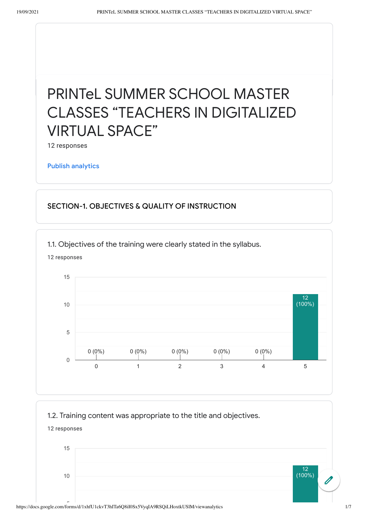# PRINTeL SUMMER SCHOOL MASTER CLASSES "TEACHERS IN DIGITALIZED VIRTUAL SPACE"

12 responses

Publish [analytics](https://docs.google.com/forms/d/1xhfU1ckvT3hITa6Q8iI0Sx5VyqIA9RSQiLHoxtkUSlM/edit?usp=redirect_edit_m2#start=publishanalytics)

#### SECTION-1. OBJECTIVES & QUALITY OF INSTRUCTION

1.1. Objectives of the training were clearly stated in the syllabus.



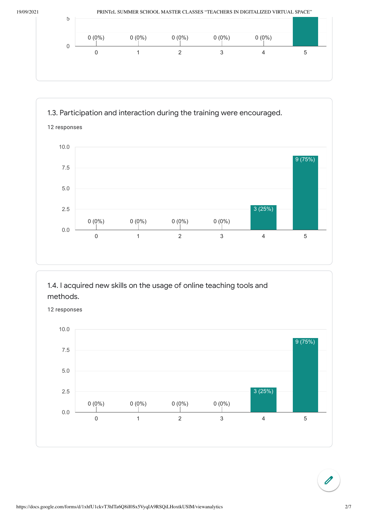



1.4. I acquired new skills on the usage of online teaching tools and methods.

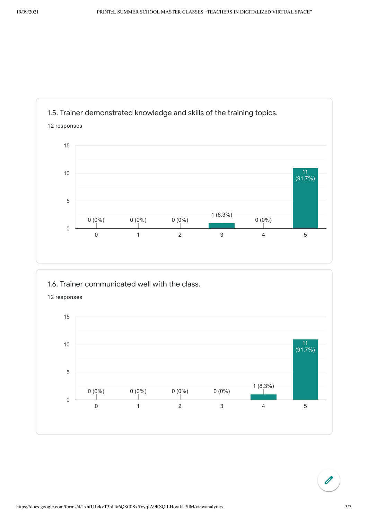



1.6. Trainer communicated well with the class.

12 responses

15

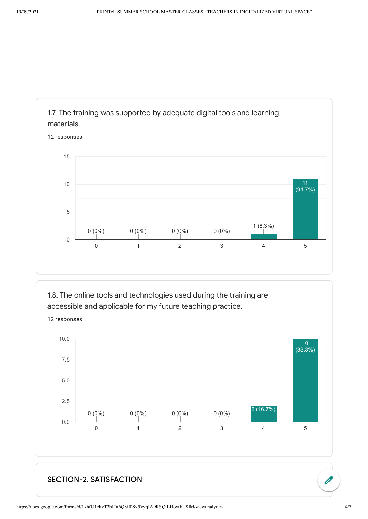

1.8. The online tools and technologies used during the training are accessible and applicable for my future teaching practice.





#### SECTION-2. SATISFACTION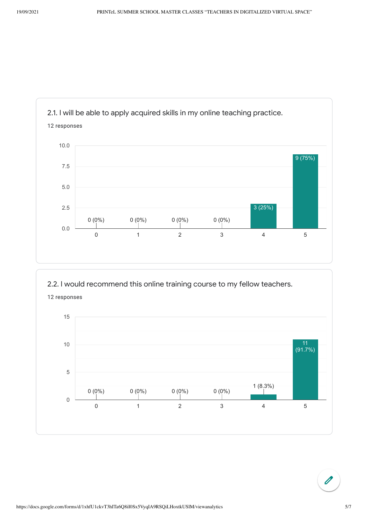

2.2. I would recommend this online training course to my fellow teachers.



https://docs.google.com/forms/d/1xhfU1ckvT3hITa6Q8iI0Sx5VyqIA9RSQiLHoxtkUSlM/viewanalytics 5/7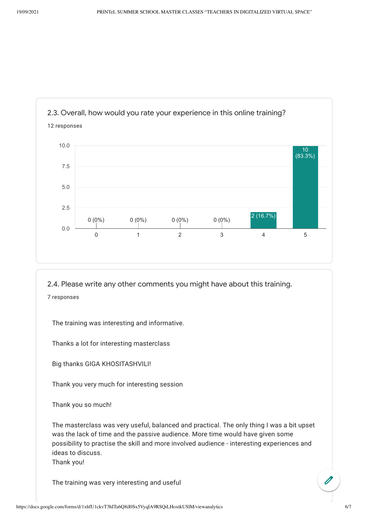

2.4. Please write any other comments you might have about this training.

7 responses

The training was interesting and informative.

Thanks a lot for interesting masterclass

Big thanks GIGA KHOSITASHVILI!

Thank you very much for interesting session

Thank you so much!

The masterclass was very useful, balanced and practical. The only thing I was a bit upset was the lack of time and the passive audience. More time would have given some possibility to practise the skill and more involved audience - interesting experiences and ideas to discuss. Thank you!

The training was very interesting and useful

 $\theta$